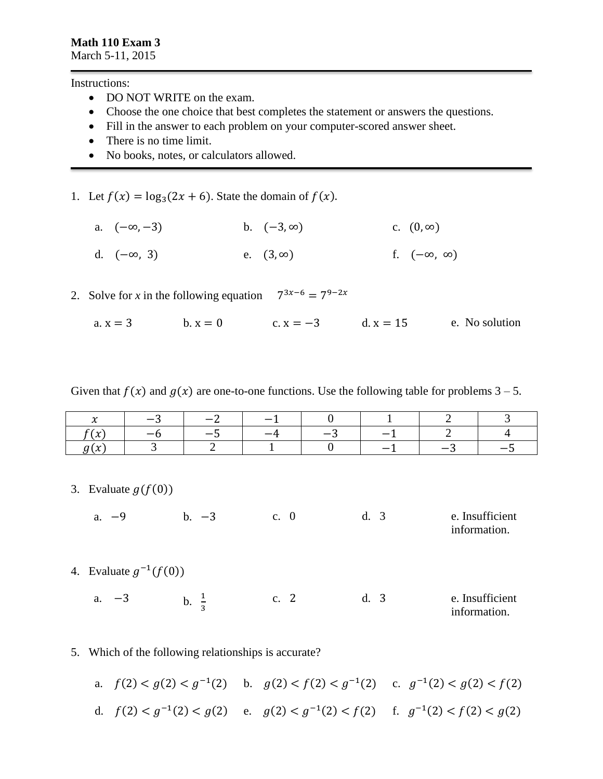Instructions:

- DO NOT WRITE on the exam.
- Choose the one choice that best completes the statement or answers the questions.
- Fill in the answer to each problem on your computer-scored answer sheet.
- There is no time limit.
- No books, notes, or calculators allowed.

1. Let  $f(x) = \log_3(2x + 6)$ . State the domain of  $f(x)$ .

- a.  $(-\infty, -3)$  b.  $(-3, \infty)$  c.  $(0, \infty)$
- d.  $(-\infty, 3)$  e.  $(3, \infty)$  f.  $(-\infty, \infty)$
- 2. Solve for *x* in the following equation  $7^{3x-6} = 7^{9-2x}$

a.  $x = 3$  b.  $x = 0$  c.  $x = -3$  d.  $x = 15$  e. No solution

Given that  $f(x)$  and  $g(x)$  are one-to-one functions. Use the following table for problems  $3 - 5$ .

| $\overline{\phantom{a}}$ | $\sim$                   | $\sim$ | $\sim$ |        |                          |  |
|--------------------------|--------------------------|--------|--------|--------|--------------------------|--|
| $\overline{ }$<br>. vu   | $\overline{\phantom{0}}$ |        | - 4    | $\sim$ | __<br>_                  |  |
| $\overline{a}$<br>∼<br>◡ |                          |        |        |        | $\overline{\phantom{0}}$ |  |

3. Evaluate  $g(f(0))$ 

a. −9 b. −3 c. 0 d. 3 e. Insufficient

information.

- 4. Evaluate  $g^{-1}(f(0))$ 
	- a.  $-3$  b.  $\frac{1}{3}$ c. 2 d. 3 e. Insufficient information.
- 5. Which of the following relationships is accurate?
	- a.  $f(2) < g(2) < g^{-1}(2)$  b.  $g(2) < f(2) < g^{-1}(2)$  c.  $g^{-1}(2) < g(2) < f(2)$ d.  $f(2) < g^{-1}(2) < g(2)$  e.  $g(2) < g^{-1}(2) < f(2)$  f.  $g^{-1}(2) < f(2) < g(2)$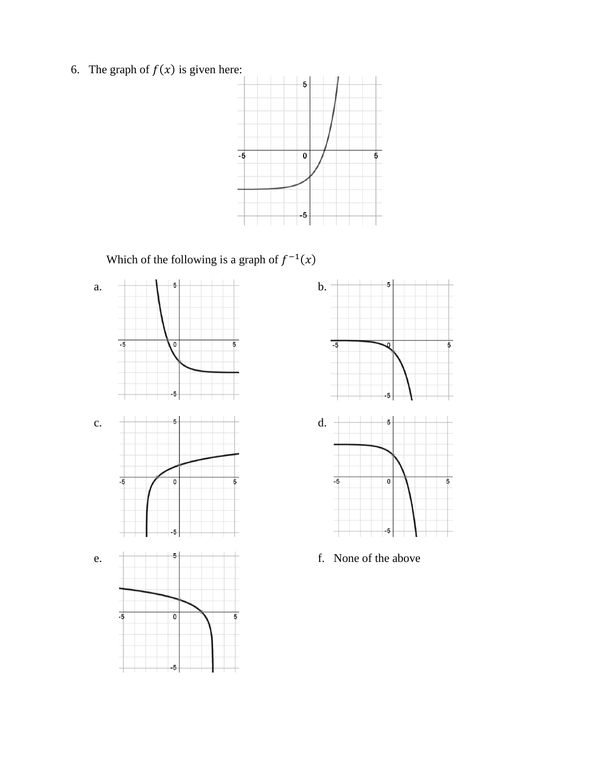6. The graph of  $f(x)$  is given here:



Which of the following is a graph of  $f^{-1}(x)$ 



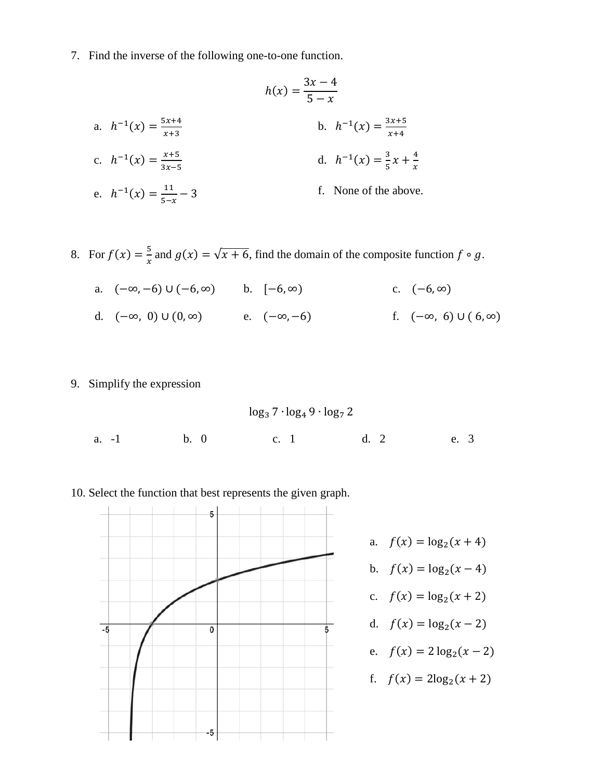7. Find the inverse of the following one-to-one function.

$$
h(x) = \frac{3x - 4}{5 - x}
$$
  
a.  $h^{-1}(x) = \frac{5x + 4}{x + 3}$   
b.  $h^{-1}(x) = \frac{3x + 5}{x + 4}$   
c.  $h^{-1}(x) = \frac{x + 5}{3x - 5}$   
d.  $h^{-1}(x) = \frac{3}{5}x + \frac{4}{x}$   
e.  $h^{-1}(x) = \frac{11}{5 - x} - 3$   
f. None of the above.

- 8. For  $f(x) = \frac{5}{x}$  $\frac{a}{x}$  and  $g(x) = \sqrt{x + 6}$ , find the domain of the composite function  $f \circ g$ .
	- a.  $(-\infty, -6) \cup (-6, \infty)$  b.  $[-6, \infty)$  c.  $(-6, \infty)$ d.  $(-\infty, 0) \cup (0, \infty)$  e.  $(-\infty, -6)$  f.  $(-\infty, 6) \cup (6, \infty)$
- 9. Simplify the expression

$$
log_3 7 \cdot log_4 9 \cdot log_7 2
$$
  
a. -1 b. 0 c. 1 d. 2 e. 3

10. Select the function that best represents the given graph.



a.  $f(x) = \log_2(x + 4)$ b.  $f(x) = log_2(x - 4)$ c.  $f(x) = log_2(x + 2)$ d.  $f(x) = log_2(x - 2)$ e.  $f(x) = 2 \log_2(x - 2)$ f.  $f(x) = 2\log_2(x + 2)$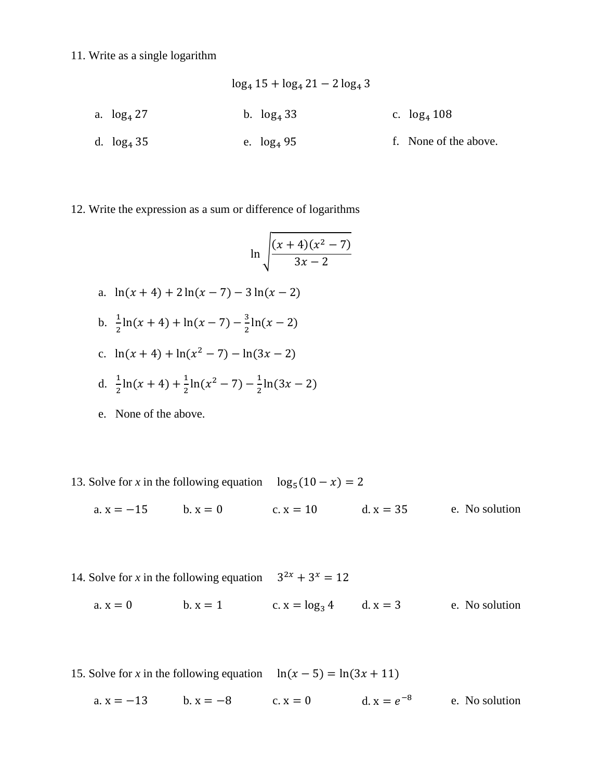## 11. Write as a single logarithm

$$
\log_4 15 + \log_4 21 - 2 \log_4 3
$$
\na.  $\log_4 27$   
\nb.  $\log_4 33$   
\nc.  $\log_4 108$   
\nd.  $\log_4 35$   
\ne.  $\log_4 95$   
\nf. None of the above.

## 12. Write the expression as a sum or difference of logarithms

$$
\ln \sqrt{\frac{(x+4)(x^2-7)}{3x-2}}
$$

- a.  $ln(x + 4) + 2 ln(x 7) 3 ln(x 2)$
- b.  $\frac{1}{2} \ln(x+4) + \ln(x-7) \frac{3}{2}$  $\frac{3}{2}$ ln(x – 2)
- c.  $\ln(x+4) + \ln(x^2-7) \ln(3x-2)$
- d.  $\frac{1}{2} \ln(x+4) + \frac{1}{2}$  $\frac{1}{2}$ ln(x<sup>2</sup> – 7) –  $\frac{1}{2}$  $\frac{1}{2}$ ln(3x – 2)
- e. None of the above.
- 13. Solve for *x* in the following equation  $\log_5(10 x) = 2$ 
	- a.  $x = -15$  b.  $x = 0$  c.  $x = 10$  d.  $x = 35$  e. No solution
- 14. Solve for *x* in the following equation  $3^{2x} + 3^x = 12$ a.  $x = 0$  b.  $x = 1$  c.  $x = \log_3 4$  d.  $x = 3$  e. No solution
- 15. Solve for *x* in the following equation  $\ln(x 5) = \ln(3x + 11)$ a.  $x = -13$  b.  $x = -8$  c.  $x = 0$  d.  $x = e^{-8}$ e. No solution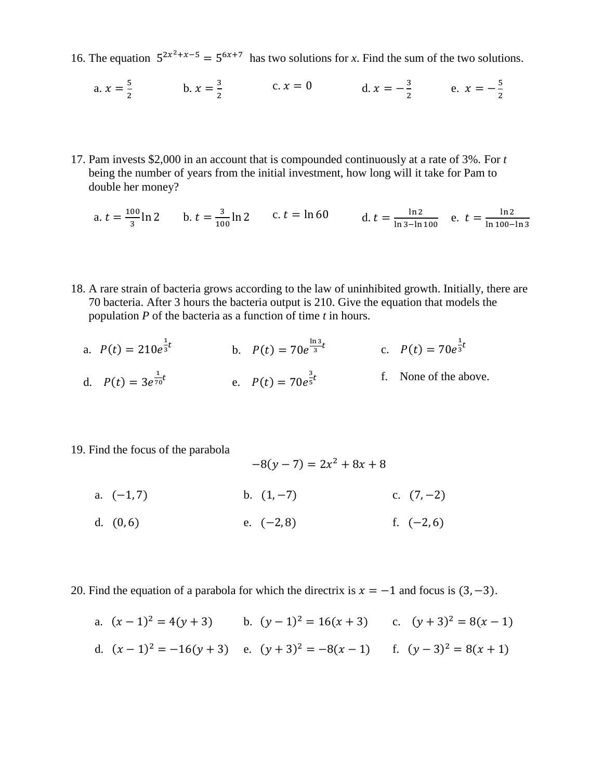- 16. The equation  $5^{2x^2+x-5} = 5^{6x+7}$  has two solutions for *x*. Find the sum of the two solutions.
	- a.  $x = \frac{5}{3}$  $\frac{5}{2}$  b.  $x = \frac{3}{2}$  $c. x = 0$  d.  $x = -\frac{3}{2}$  $\frac{3}{2}$  e.  $x = -\frac{5}{2}$ 2
- 17. Pam invests \$2,000 in an account that is compounded continuously at a rate of 3%. For *t*  being the number of years from the initial investment, how long will it take for Pam to double her money?

a. 
$$
t = \frac{100}{3} \ln 2
$$
 b.  $t = \frac{3}{100} \ln 2$  c.  $t = \ln 60$  d.  $t = \frac{\ln 2}{\ln 3 - \ln 100}$  e.  $t = \frac{\ln 2}{\ln 100 - \ln 3}$ 

- 18. A rare strain of bacteria grows according to the law of uninhibited growth. Initially, there are 70 bacteria. After 3 hours the bacteria output is 210. Give the equation that models the population *P* of the bacteria as a function of time *t* in hours.
	- a.  $P(t) = 210e^{\frac{1}{3}}$  $\frac{1}{3}t$ b.  $P(t) = 70e^{\frac{\ln 3}{3}}$  $\frac{a_3}{3}t$  c.  $P(t) = 70e^{\frac{1}{3}}$  $\frac{1}{3}t$ d.  $P(t) = 3e^{\frac{1}{70}}$  $\frac{1}{70}t$  e.  $P(t) = 70e^{\frac{3}{5}}$ 5 f. None of the above.
- 19. Find the focus of the parabola

 $-8(y-7) = 2x^2 + 8x + 8$ 

- a.  $(-1, 7)$  b.  $(1, -7)$  c.  $(7, -2)$
- d.  $(0, 6)$  e.  $(-2, 8)$  f.  $(-2, 6)$

20. Find the equation of a parabola for which the directrix is  $x = -1$  and focus is  $(3, -3)$ .

a.  $(x-1)^2 = 4(y+3)$  b.  $(y-1)^2 = 16(x+3)$  c.  $(y+3)^2 = 8(x-1)$ d.  $(x-1)^2 = -16(y+3)$  e.  $(y+3)^2 = -8(x-1)$  f.  $(y-3)^2 = 8(x+1)$